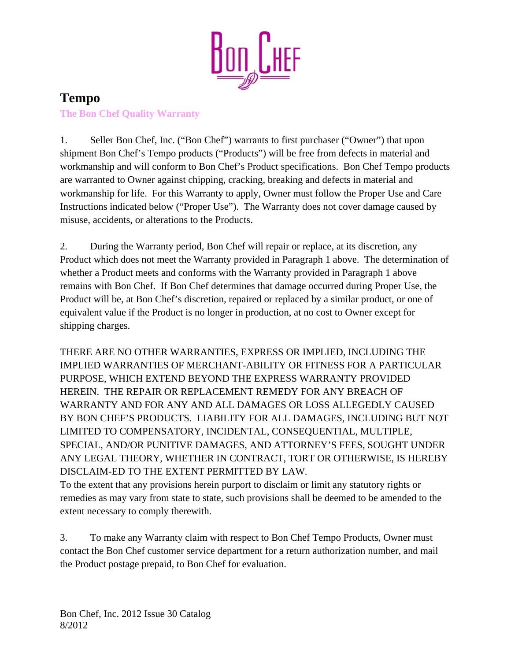

## **Tempo**

**The Bon Chef Quality Warranty**

1. Seller Bon Chef, Inc. ("Bon Chef") warrants to first purchaser ("Owner") that upon shipment Bon Chef's Tempo products ("Products") will be free from defects in material and workmanship and will conform to Bon Chef's Product specifications. Bon Chef Tempo products are warranted to Owner against chipping, cracking, breaking and defects in material and workmanship for life. For this Warranty to apply, Owner must follow the Proper Use and Care Instructions indicated below ("Proper Use"). The Warranty does not cover damage caused by misuse, accidents, or alterations to the Products.

2. During the Warranty period, Bon Chef will repair or replace, at its discretion, any Product which does not meet the Warranty provided in Paragraph 1 above. The determination of whether a Product meets and conforms with the Warranty provided in Paragraph 1 above remains with Bon Chef. If Bon Chef determines that damage occurred during Proper Use, the Product will be, at Bon Chef's discretion, repaired or replaced by a similar product, or one of equivalent value if the Product is no longer in production, at no cost to Owner except for shipping charges.

THERE ARE NO OTHER WARRANTIES, EXPRESS OR IMPLIED, INCLUDING THE IMPLIED WARRANTIES OF MERCHANT-ABILITY OR FITNESS FOR A PARTICULAR PURPOSE, WHICH EXTEND BEYOND THE EXPRESS WARRANTY PROVIDED HEREIN. THE REPAIR OR REPLACEMENT REMEDY FOR ANY BREACH OF WARRANTY AND FOR ANY AND ALL DAMAGES OR LOSS ALLEGEDLY CAUSED BY BON CHEF'S PRODUCTS. LIABILITY FOR ALL DAMAGES, INCLUDING BUT NOT LIMITED TO COMPENSATORY, INCIDENTAL, CONSEQUENTIAL, MULTIPLE, SPECIAL, AND/OR PUNITIVE DAMAGES, AND ATTORNEY'S FEES, SOUGHT UNDER ANY LEGAL THEORY, WHETHER IN CONTRACT, TORT OR OTHERWISE, IS HEREBY DISCLAIM-ED TO THE EXTENT PERMITTED BY LAW.

To the extent that any provisions herein purport to disclaim or limit any statutory rights or remedies as may vary from state to state, such provisions shall be deemed to be amended to the extent necessary to comply therewith.

3. To make any Warranty claim with respect to Bon Chef Tempo Products, Owner must contact the Bon Chef customer service department for a return authorization number, and mail the Product postage prepaid, to Bon Chef for evaluation.